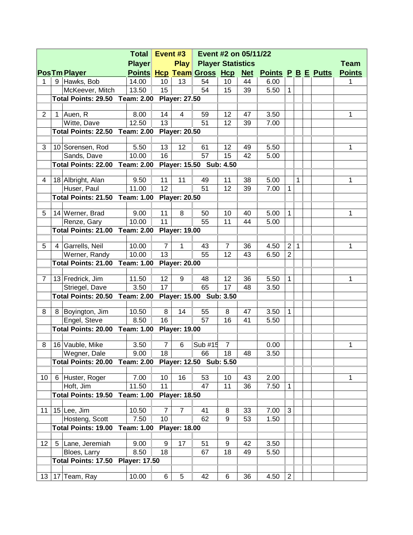| <b>Total</b>   |               |                                       |                      |                  | Event #3<br>Event #2 on 05/11/22 |                           |                |            |                           |                |              |  |  |               |
|----------------|---------------|---------------------------------------|----------------------|------------------|----------------------------------|---------------------------|----------------|------------|---------------------------|----------------|--------------|--|--|---------------|
|                | <b>Player</b> |                                       |                      |                  | <b>Play</b>                      | <b>Player Statistics</b>  |                |            |                           |                |              |  |  | <b>Team</b>   |
|                |               | <b>PosTm Player</b>                   |                      |                  |                                  | Points Hcp Team Gross Hcp |                | <b>Net</b> | <b>Points P B E Putts</b> |                |              |  |  | <b>Points</b> |
| 1              |               | 9 Hawks, Bob                          | 14.00                | 10               | 13                               | 54                        | 10             | 44         | 6.00                      |                |              |  |  | 1             |
|                |               | McKeever, Mitch                       | 13.50                | 15               |                                  | 54                        | 15             | 39         | 5.50                      | $\mathbf{1}$   |              |  |  |               |
|                |               | <b>Total Points: 29.50 Team: 2.00</b> |                      |                  | <b>Player: 27.50</b>             |                           |                |            |                           |                |              |  |  |               |
|                |               |                                       |                      |                  |                                  |                           |                |            |                           |                |              |  |  |               |
| $\overline{2}$ | 1             | Auen, R                               | 8.00                 | 14               | 4                                | 59                        | 12             | 47         | 3.50                      |                |              |  |  | 1             |
|                |               | Witte, Dave                           | 12.50                | 13               |                                  | 51                        | 12             | 39         | 7.00                      |                |              |  |  |               |
|                |               | <b>Total Points: 22.50 Team: 2.00</b> |                      |                  | <b>Player: 20.50</b>             |                           |                |            |                           |                |              |  |  |               |
|                |               |                                       |                      |                  |                                  |                           |                |            |                           |                |              |  |  |               |
| 3              |               | 10 Sorensen, Rod                      | 5.50                 | 13               | 12                               | 61                        | 12             | 49         | 5.50                      |                |              |  |  | 1             |
|                |               | Sands, Dave                           | 10.00                | 16               |                                  | 57                        | 15             | 42         | 5.00                      |                |              |  |  |               |
|                |               | <b>Total Points: 22.00 Team: 2.00</b> |                      |                  |                                  | Player: 15.50 Sub: 4.50   |                |            |                           |                |              |  |  |               |
| 4              |               | 18 Albright, Alan                     | 9.50                 | 11               | 11                               | 49                        | 11             | 38         | 5.00                      |                | $\mathbf{1}$ |  |  | 1             |
|                |               | Huser, Paul                           | 11.00                | 12               |                                  | 51                        | 12             | 39         | 7.00                      | $\mathbf{1}$   |              |  |  |               |
|                |               | Total Points: 21.50 Team: 1.00        |                      |                  | <b>Player: 20.50</b>             |                           |                |            |                           |                |              |  |  |               |
|                |               |                                       |                      |                  |                                  |                           |                |            |                           |                |              |  |  |               |
| 5              |               | 14 Werner, Brad                       | 9.00                 | 11               | 8                                | 50                        | 10             | 40         | 5.00                      | $\mathbf{1}$   |              |  |  | 1             |
|                |               | Renze, Gary                           | 10.00                | 11               |                                  | 55                        | 11             | 44         | 5.00                      |                |              |  |  |               |
|                |               | <b>Total Points: 21.00 Team: 2.00</b> |                      |                  | <b>Player: 19.00</b>             |                           |                |            |                           |                |              |  |  |               |
|                |               |                                       |                      |                  |                                  |                           |                |            |                           |                |              |  |  |               |
| 5              | 4             | Garrells, Neil                        | 10.00                | $\overline{7}$   | $\mathbf{1}$                     | 43                        | $\overline{7}$ | 36         | 4.50                      | $\overline{2}$ | $\mathbf{1}$ |  |  | 1             |
|                |               | Werner, Randy                         | 10.00                | 13               |                                  | 55                        | 12             | 43         | 6.50                      | $\overline{2}$ |              |  |  |               |
|                |               | <b>Total Points: 21.00</b>            | Team: 1.00           |                  | <b>Player: 20.00</b>             |                           |                |            |                           |                |              |  |  |               |
|                |               |                                       |                      |                  |                                  |                           |                |            |                           |                |              |  |  |               |
| $\overline{7}$ |               | 13 Fredrick, Jim                      | 11.50                | 12               | 9                                | 48                        | 12             | 36         | 5.50                      | 1              |              |  |  | 1             |
|                |               | Striegel, Dave                        | 3.50                 | 17               |                                  | 65                        | 17             | 48         | 3.50                      |                |              |  |  |               |
|                |               | Total Points: 20.50                   | <b>Team: 2.00</b>    |                  |                                  | Player: 15.00 Sub: 3.50   |                |            |                           |                |              |  |  |               |
|                |               |                                       |                      |                  |                                  |                           |                |            |                           |                |              |  |  |               |
| 8              | 8             | Boyington, Jim                        | 10.50                | 8                | 14                               | 55                        | 8              | 47         | 3.50                      | $\mathbf{1}$   |              |  |  |               |
|                |               | Engel, Steve                          | 8.50                 | 16               |                                  | 57                        | 16             | 41         | 5.50                      |                |              |  |  |               |
|                |               | <b>Total Points: 20.00</b>            | <b>Team: 1.00</b>    |                  | <b>Player: 19.00</b>             |                           |                |            |                           |                |              |  |  |               |
| 8              |               | 16 Vauble, Mike                       | 3.50                 | $\overline{7}$   | 6                                | Sub #15                   | $\overline{7}$ |            | 0.00                      |                |              |  |  | 1             |
|                |               | Wegner, Dale                          | 9.00                 | 18               |                                  | 66                        | 18             | 48         | 3.50                      |                |              |  |  |               |
|                |               | Total Points: 20.00                   | <b>Team: 2.00</b>    |                  |                                  | Player: 12.50 Sub: 5.50   |                |            |                           |                |              |  |  |               |
|                |               |                                       |                      |                  |                                  |                           |                |            |                           |                |              |  |  |               |
| 10             | 6             | Huster, Roger                         | 7.00                 | 10               | 16                               | 53                        | 10             | 43         | 2.00                      |                |              |  |  | 1             |
|                |               | Hoft, Jim                             | 11.50                | 11               |                                  | 47                        | 11             | 36         | 7.50                      | 1              |              |  |  |               |
|                |               | Total Points: 19.50                   | <b>Team: 1.00</b>    |                  | <b>Player: 18.50</b>             |                           |                |            |                           |                |              |  |  |               |
|                |               |                                       |                      |                  |                                  |                           |                |            |                           |                |              |  |  |               |
| 11             |               | 15 Lee, Jim                           | 10.50                | $\overline{7}$   | $\overline{7}$                   | 41                        | 8              | 33         | 7.00                      | 3              |              |  |  |               |
|                |               | Hosteng, Scott                        | 7.50                 | 10               |                                  | 62                        | 9              | 53         | 1.50                      |                |              |  |  |               |
|                |               | <b>Total Points: 19.00</b>            | <b>Team: 1.00</b>    |                  | <b>Player: 18.00</b>             |                           |                |            |                           |                |              |  |  |               |
|                |               |                                       |                      |                  |                                  |                           |                |            |                           |                |              |  |  |               |
| 12             | 5             | Lane, Jeremiah                        | 9.00                 | $\boldsymbol{9}$ | 17                               | 51                        | 9              | 42         | 3.50                      |                |              |  |  |               |
|                |               | Bloes, Larry                          | 8.50                 | 18               |                                  | 67                        | 18             | 49         | 5.50                      |                |              |  |  |               |
|                |               | <b>Total Points: 17.50</b>            | <b>Player: 17.50</b> |                  |                                  |                           |                |            |                           |                |              |  |  |               |
|                |               |                                       |                      |                  |                                  |                           |                |            |                           |                |              |  |  |               |
|                |               | 13   17   Team, Ray                   | 10.00                | 6                | 5                                | 42                        | 6              | 36         | 4.50                      | $\overline{c}$ |              |  |  |               |